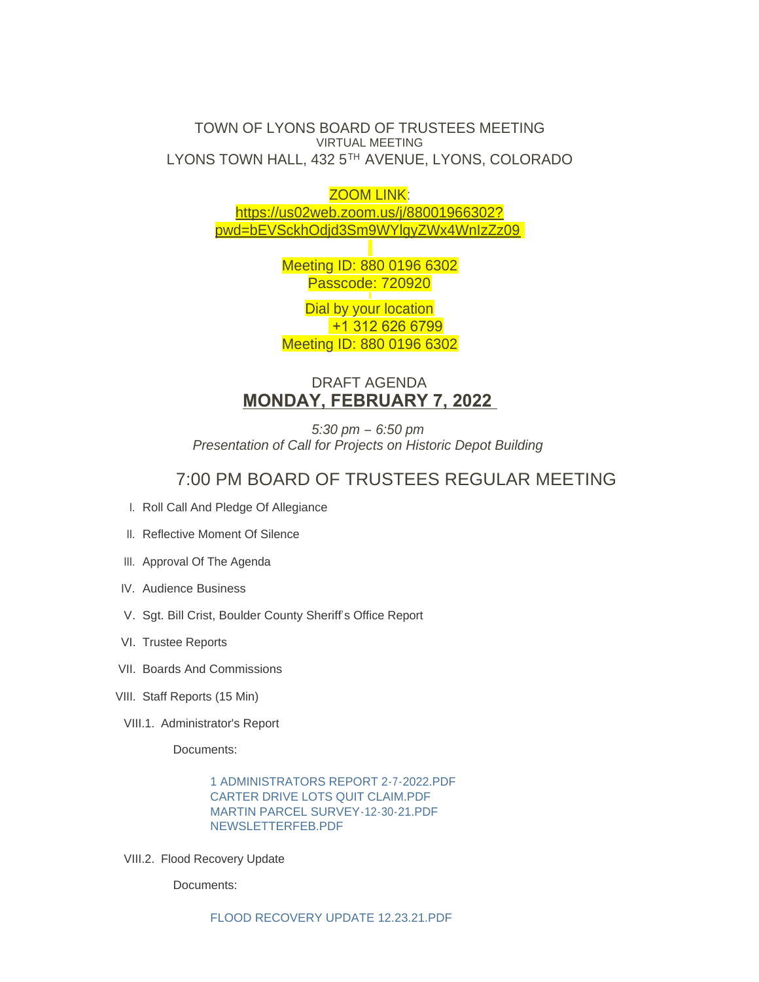### TOWN OF LYONS BOARD OF TRUSTEES MEETING VIRTUAL MEETING LYONS TOWN HALL, 432 5TH AVENUE, LYONS, COLORADO

ZOOM LINK:

[https://us02web.zoom.us/j/88001966302?](https://us02web.zoom.us/j/88001966302?pwd=bEVSckhOdjd3Sm9WYlgyZWx4WnIzZz09) pwd=bEVSckhOdjd3Sm9WYlgyZWx4WnIzZz09

> Meeting ID: 880 0196 6302 Passcode: 720920

> Dial by your location +1 312 626 6799 Meeting ID: 880 0196 6302

## DRAFT AGENDA **MONDAY, FEBRUARY 7, 2022**

*5:30 pm – 6:50 pm Presentation of Call for Projects on Historic Depot Building*

# 7:00 PM BOARD OF TRUSTEES REGULAR MEETING

- I. Roll Call And Pledge Of Allegiance
- II. Reflective Moment Of Silence
- III. Approval Of The Agenda
- IV. Audience Business
- V. Sgt. Bill Crist, Boulder County Sheriff's Office Report
- VI. Trustee Reports
- VII. Boards And Commissions
- VIII. Staff Reports (15 Min)
- VIII.1. Administrator's Report

Documents:

[1 ADMINISTRATORS REPORT 2-7-2022.PDF](https://www.townoflyons.com/AgendaCenter/ViewFile/Item/9774?fileID=20304) [CARTER DRIVE LOTS QUIT CLAIM.PDF](https://www.townoflyons.com/AgendaCenter/ViewFile/Item/9774?fileID=20301) [MARTIN PARCEL SURVEY-12-30-21.PDF](https://www.townoflyons.com/AgendaCenter/ViewFile/Item/9774?fileID=20302) [NEWSLETTERFEB.PDF](https://www.townoflyons.com/AgendaCenter/ViewFile/Item/9774?fileID=20303)

VIII.2. Flood Recovery Update

Documents: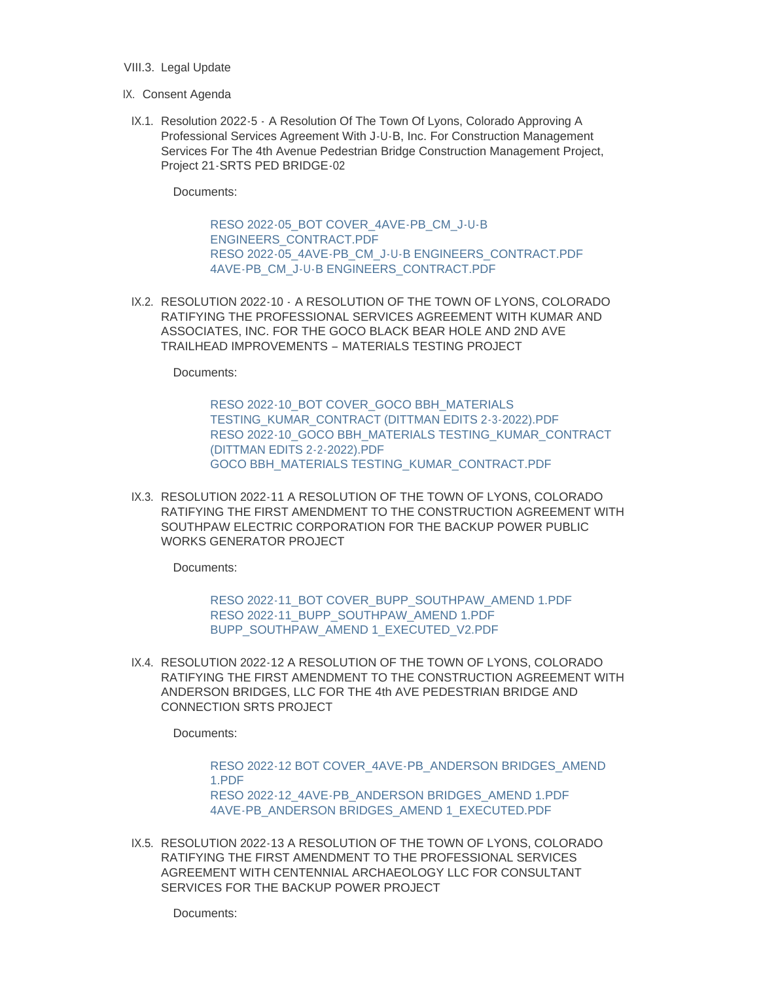- VIII.3. Legal Update
- IX. Consent Agenda
- IX.1. Resolution 2022-5 A Resolution Of The Town Of Lyons, Colorado Approving A Professional Services Agreement With J-U-B, Inc. For Construction Management Services For The 4th Avenue Pedestrian Bridge Construction Management Project, Project 21-SRTS PED BRIDGE-02

Documents:

[RESO 2022-05\\_BOT COVER\\_4AVE-PB\\_CM\\_J-U-B](https://www.townoflyons.com/AgendaCenter/ViewFile/Item/9776?fileID=20172)  ENGINEERS\_CONTRACT.PDF [RESO 2022-05\\_4AVE-PB\\_CM\\_J-U-B ENGINEERS\\_CONTRACT.PDF](https://www.townoflyons.com/AgendaCenter/ViewFile/Item/9776?fileID=20171) [4AVE-PB\\_CM\\_J-U-B ENGINEERS\\_CONTRACT.PDF](https://www.townoflyons.com/AgendaCenter/ViewFile/Item/9776?fileID=20173)

IX.2. RESOLUTION 2022-10 - A RESOLUTION OF THE TOWN OF LYONS, COLORADO RATIFYING THE PROFESSIONAL SERVICES AGREEMENT WITH KUMAR AND ASSOCIATES, INC. FOR THE GOCO BLACK BEAR HOLE AND 2ND AVE TRAILHEAD IMPROVEMENTS – MATERIALS TESTING PROJECT

Documents:

RESO 2022-10\_BOT COVER\_GOCO BBH\_MATERIALS [TESTING\\_KUMAR\\_CONTRACT \(DITTMAN EDITS 2-3-2022\).PDF](https://www.townoflyons.com/AgendaCenter/ViewFile/Item/9777?fileID=20174) [RESO 2022-10\\_GOCO BBH\\_MATERIALS TESTING\\_KUMAR\\_CONTRACT](https://www.townoflyons.com/AgendaCenter/ViewFile/Item/9777?fileID=20175)  (DITTMAN EDITS 2-2-2022).PDF [GOCO BBH\\_MATERIALS TESTING\\_KUMAR\\_CONTRACT.PDF](https://www.townoflyons.com/AgendaCenter/ViewFile/Item/9777?fileID=20176)

IX.3. RESOLUTION 2022-11 A RESOLUTION OF THE TOWN OF LYONS, COLORADO RATIFYING THE FIRST AMENDMENT TO THE CONSTRUCTION AGREEMENT WITH SOUTHPAW ELECTRIC CORPORATION FOR THE BACKUP POWER PUBLIC WORKS GENERATOR PROJECT

Documents:

[RESO 2022-11\\_BOT COVER\\_BUPP\\_SOUTHPAW\\_AMEND 1.PDF](https://www.townoflyons.com/AgendaCenter/ViewFile/Item/9778?fileID=20178) [RESO 2022-11\\_BUPP\\_SOUTHPAW\\_AMEND 1.PDF](https://www.townoflyons.com/AgendaCenter/ViewFile/Item/9778?fileID=20179) [BUPP\\_SOUTHPAW\\_AMEND 1\\_EXECUTED\\_V2.PDF](https://www.townoflyons.com/AgendaCenter/ViewFile/Item/9778?fileID=20177)

IX.4. RESOLUTION 2022-12 A RESOLUTION OF THE TOWN OF LYONS, COLORADO RATIFYING THE FIRST AMENDMENT TO THE CONSTRUCTION AGREEMENT WITH ANDERSON BRIDGES, LLC FOR THE 4th AVE PEDESTRIAN BRIDGE AND CONNECTION SRTS PROJECT

Documents:

[RESO 2022-12 BOT COVER\\_4AVE-PB\\_ANDERSON BRIDGES\\_AMEND](https://www.townoflyons.com/AgendaCenter/ViewFile/Item/9779?fileID=20181)  1.PDF [RESO 2022-12\\_4AVE-PB\\_ANDERSON BRIDGES\\_AMEND 1.PDF](https://www.townoflyons.com/AgendaCenter/ViewFile/Item/9779?fileID=20182) [4AVE-PB\\_ANDERSON BRIDGES\\_AMEND 1\\_EXECUTED.PDF](https://www.townoflyons.com/AgendaCenter/ViewFile/Item/9779?fileID=20180)

IX.5. RESOLUTION 2022-13 A RESOLUTION OF THE TOWN OF LYONS, COLORADO RATIFYING THE FIRST AMENDMENT TO THE PROFESSIONAL SERVICES AGREEMENT WITH CENTENNIAL ARCHAEOLOGY LLC FOR CONSULTANT SERVICES FOR THE BACKUP POWER PROJECT

Documents: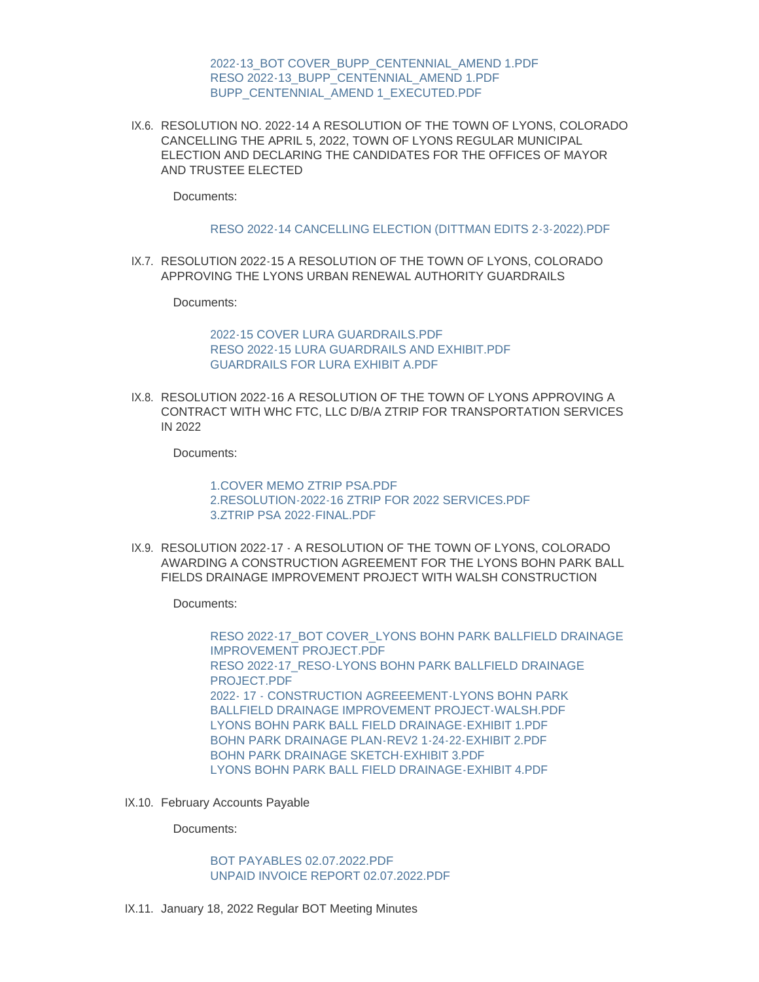[2022-13\\_BOT COVER\\_BUPP\\_CENTENNIAL\\_AMEND 1.PDF](https://www.townoflyons.com/AgendaCenter/ViewFile/Item/9780?fileID=20183) [RESO 2022-13\\_BUPP\\_CENTENNIAL\\_AMEND 1.PDF](https://www.townoflyons.com/AgendaCenter/ViewFile/Item/9780?fileID=20185) [BUPP\\_CENTENNIAL\\_AMEND 1\\_EXECUTED.PDF](https://www.townoflyons.com/AgendaCenter/ViewFile/Item/9780?fileID=20184)

IX.6. RESOLUTION NO. 2022-14 A RESOLUTION OF THE TOWN OF LYONS, COLORADO CANCELLING THE APRIL 5, 2022, TOWN OF LYONS REGULAR MUNICIPAL ELECTION AND DECLARING THE CANDIDATES FOR THE OFFICES OF MAYOR AND TRUSTEE ELECTED

Documents:

[RESO 2022-14 CANCELLING ELECTION \(DITTMAN EDITS 2-3-2022\).PDF](https://www.townoflyons.com/AgendaCenter/ViewFile/Item/9781?fileID=20186)

IX.7. RESOLUTION 2022-15 A RESOLUTION OF THE TOWN OF LYONS, COLORADO APPROVING THE LYONS URBAN RENEWAL AUTHORITY GUARDRAILS

Documents:

[2022-15 COVER LURA GUARDRAILS.PDF](https://www.townoflyons.com/AgendaCenter/ViewFile/Item/9782?fileID=20189) [RESO 2022-15 LURA GUARDRAILS AND EXHIBIT.PDF](https://www.townoflyons.com/AgendaCenter/ViewFile/Item/9782?fileID=20188) [GUARDRAILS FOR LURA EXHIBIT A.PDF](https://www.townoflyons.com/AgendaCenter/ViewFile/Item/9782?fileID=20187)

IX.8. RESOLUTION 2022-16 A RESOLUTION OF THE TOWN OF LYONS APPROVING A CONTRACT WITH WHC FTC, LLC D/B/A ZTRIP FOR TRANSPORTATION SERVICES IN 2022

Documents:

[1.COVER MEMO ZTRIP PSA.PDF](https://www.townoflyons.com/AgendaCenter/ViewFile/Item/9783?fileID=20190) [2.RESOLUTION-2022-16 ZTRIP FOR 2022 SERVICES.PDF](https://www.townoflyons.com/AgendaCenter/ViewFile/Item/9783?fileID=20191) [3.ZTRIP PSA 2022-FINAL.PDF](https://www.townoflyons.com/AgendaCenter/ViewFile/Item/9783?fileID=20192)

IX.9. RESOLUTION 2022-17 - A RESOLUTION OF THE TOWN OF LYONS, COLORADO AWARDING A CONSTRUCTION AGREEMENT FOR THE LYONS BOHN PARK BALL FIELDS DRAINAGE IMPROVEMENT PROJECT WITH WALSH CONSTRUCTION

Documents:

[RESO 2022-17\\_BOT COVER\\_LYONS BOHN PARK BALLFIELD DRAINAGE](https://www.townoflyons.com/AgendaCenter/ViewFile/Item/9794?fileID=20298)  IMPROVEMENT PROJECT.PDF [RESO 2022-17\\_RESO-LYONS BOHN PARK BALLFIELD DRAINAGE](https://www.townoflyons.com/AgendaCenter/ViewFile/Item/9794?fileID=20299)  PROJECT.PDF [2022- 17 - CONSTRUCTION AGREEEMENT-LYONS BOHN PARK](https://www.townoflyons.com/AgendaCenter/ViewFile/Item/9794?fileID=20300)  BALLFIELD DRAINAGE IMPROVEMENT PROJECT-WALSH.PDF [LYONS BOHN PARK BALL FIELD DRAINAGE-EXHIBIT 1.PDF](https://www.townoflyons.com/AgendaCenter/ViewFile/Item/9794?fileID=20296) [BOHN PARK DRAINAGE PLAN-REV2 1-24-22-EXHIBIT 2.PDF](https://www.townoflyons.com/AgendaCenter/ViewFile/Item/9794?fileID=20294) [BOHN PARK DRAINAGE SKETCH-EXHIBIT 3.PDF](https://www.townoflyons.com/AgendaCenter/ViewFile/Item/9794?fileID=20295) [LYONS BOHN PARK BALL FIELD DRAINAGE-EXHIBIT 4.PDF](https://www.townoflyons.com/AgendaCenter/ViewFile/Item/9794?fileID=20297)

IX.10. February Accounts Payable

Documents:

[BOT PAYABLES 02.07.2022.PDF](https://www.townoflyons.com/AgendaCenter/ViewFile/Item/9784?fileID=20193) [UNPAID INVOICE REPORT 02.07.2022.PDF](https://www.townoflyons.com/AgendaCenter/ViewFile/Item/9784?fileID=20194)

IX.11. January 18, 2022 Regular BOT Meeting Minutes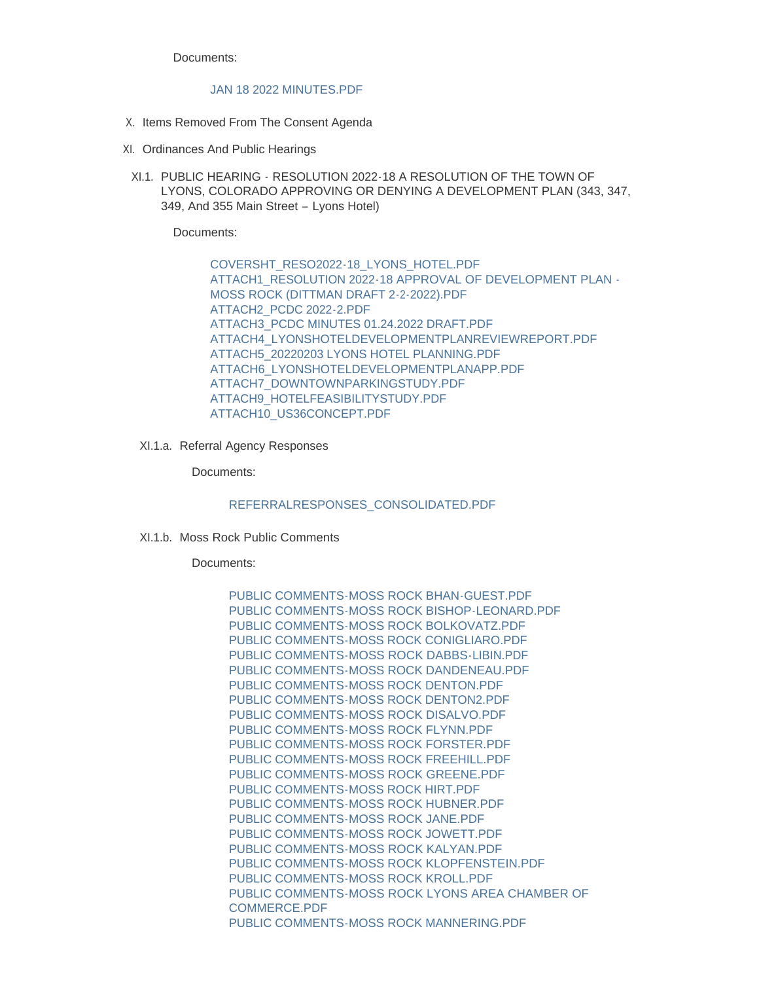Documents:

#### [JAN 18 2022 MINUTES.PDF](https://www.townoflyons.com/AgendaCenter/ViewFile/Item/9785?fileID=20196)

- X. Items Removed From The Consent Agenda
- XI. Ordinances And Public Hearings
- XI.1. PUBLIC HEARING RESOLUTION 2022-18 A RESOLUTION OF THE TOWN OF LYONS, COLORADO APPROVING OR DENYING A DEVELOPMENT PLAN (343, 347, 349, And 355 Main Street – Lyons Hotel)

Documents:

[COVERSHT\\_RESO2022-18\\_LYONS\\_HOTEL.PDF](https://www.townoflyons.com/AgendaCenter/ViewFile/Item/9786?fileID=20207) [ATTACH1\\_RESOLUTION 2022-18 APPROVAL OF DEVELOPMENT PLAN -](https://www.townoflyons.com/AgendaCenter/ViewFile/Item/9786?fileID=20208) MOSS ROCK (DITTMAN DRAFT 2-2-2022).PDF [ATTACH2\\_PCDC 2022-2.PDF](https://www.townoflyons.com/AgendaCenter/ViewFile/Item/9786?fileID=20209) [ATTACH3\\_PCDC MINUTES 01.24.2022 DRAFT.PDF](https://www.townoflyons.com/AgendaCenter/ViewFile/Item/9786?fileID=20210) [ATTACH4\\_LYONSHOTELDEVELOPMENTPLANREVIEWREPORT.PDF](https://www.townoflyons.com/AgendaCenter/ViewFile/Item/9786?fileID=20201) [ATTACH5\\_20220203 LYONS HOTEL PLANNING.PDF](https://www.townoflyons.com/AgendaCenter/ViewFile/Item/9786?fileID=20202) [ATTACH6\\_LYONSHOTELDEVELOPMENTPLANAPP.PDF](https://www.townoflyons.com/AgendaCenter/ViewFile/Item/9786?fileID=20203) [ATTACH7\\_DOWNTOWNPARKINGSTUDY.PDF](https://www.townoflyons.com/AgendaCenter/ViewFile/Item/9786?fileID=20204) [ATTACH9\\_HOTELFEASIBILITYSTUDY.PDF](https://www.townoflyons.com/AgendaCenter/ViewFile/Item/9786?fileID=20205) [ATTACH10\\_US36CONCEPT.PDF](https://www.townoflyons.com/AgendaCenter/ViewFile/Item/9786?fileID=20206)

XI.1.a. Referral Agency Responses

Documents:

[REFERRALRESPONSES\\_CONSOLIDATED.PDF](https://www.townoflyons.com/AgendaCenter/ViewFile/Item/9824?fileID=20356)

XI.1.b. Moss Rock Public Comments

Documents:

[PUBLIC COMMENTS-MOSS ROCK BHAN-GUEST.PDF](https://www.townoflyons.com/AgendaCenter/ViewFile/Item/9791?fileID=20211) [PUBLIC COMMENTS-MOSS ROCK BISHOP-LEONARD.PDF](https://www.townoflyons.com/AgendaCenter/ViewFile/Item/9791?fileID=20212) [PUBLIC COMMENTS-MOSS ROCK BOLKOVATZ.PDF](https://www.townoflyons.com/AgendaCenter/ViewFile/Item/9791?fileID=20213) [PUBLIC COMMENTS-MOSS ROCK CONIGLIARO.PDF](https://www.townoflyons.com/AgendaCenter/ViewFile/Item/9791?fileID=20214) [PUBLIC COMMENTS-MOSS ROCK DABBS-LIBIN.PDF](https://www.townoflyons.com/AgendaCenter/ViewFile/Item/9791?fileID=20215) [PUBLIC COMMENTS-MOSS ROCK DANDENEAU.PDF](https://www.townoflyons.com/AgendaCenter/ViewFile/Item/9791?fileID=20216) PUBLIC COMMENTS-MOSS ROCK DENTON PDF [PUBLIC COMMENTS-MOSS ROCK DENTON2.PDF](https://www.townoflyons.com/AgendaCenter/ViewFile/Item/9791?fileID=20218) [PUBLIC COMMENTS-MOSS ROCK DISALVO.PDF](https://www.townoflyons.com/AgendaCenter/ViewFile/Item/9791?fileID=20219) [PUBLIC COMMENTS-MOSS ROCK FLYNN.PDF](https://www.townoflyons.com/AgendaCenter/ViewFile/Item/9791?fileID=20220) [PUBLIC COMMENTS-MOSS ROCK FORSTER.PDF](https://www.townoflyons.com/AgendaCenter/ViewFile/Item/9791?fileID=20221) [PUBLIC COMMENTS-MOSS ROCK FREEHILL.PDF](https://www.townoflyons.com/AgendaCenter/ViewFile/Item/9791?fileID=20222) [PUBLIC COMMENTS-MOSS ROCK GREENE.PDF](https://www.townoflyons.com/AgendaCenter/ViewFile/Item/9791?fileID=20223) [PUBLIC COMMENTS-MOSS ROCK HIRT.PDF](https://www.townoflyons.com/AgendaCenter/ViewFile/Item/9791?fileID=20224) [PUBLIC COMMENTS-MOSS ROCK HUBNER.PDF](https://www.townoflyons.com/AgendaCenter/ViewFile/Item/9791?fileID=20225) [PUBLIC COMMENTS-MOSS ROCK JANE.PDF](https://www.townoflyons.com/AgendaCenter/ViewFile/Item/9791?fileID=20226) [PUBLIC COMMENTS-MOSS ROCK JOWETT.PDF](https://www.townoflyons.com/AgendaCenter/ViewFile/Item/9791?fileID=20227) [PUBLIC COMMENTS-MOSS ROCK KALYAN.PDF](https://www.townoflyons.com/AgendaCenter/ViewFile/Item/9791?fileID=20228) [PUBLIC COMMENTS-MOSS ROCK KLOPFENSTEIN.PDF](https://www.townoflyons.com/AgendaCenter/ViewFile/Item/9791?fileID=20229) [PUBLIC COMMENTS-MOSS ROCK KROLL.PDF](https://www.townoflyons.com/AgendaCenter/ViewFile/Item/9791?fileID=20230) [PUBLIC COMMENTS-MOSS ROCK LYONS AREA CHAMBER OF](https://www.townoflyons.com/AgendaCenter/ViewFile/Item/9791?fileID=20231)  COMMERCE.PDF [PUBLIC COMMENTS-MOSS ROCK MANNERING.PDF](https://www.townoflyons.com/AgendaCenter/ViewFile/Item/9791?fileID=20232)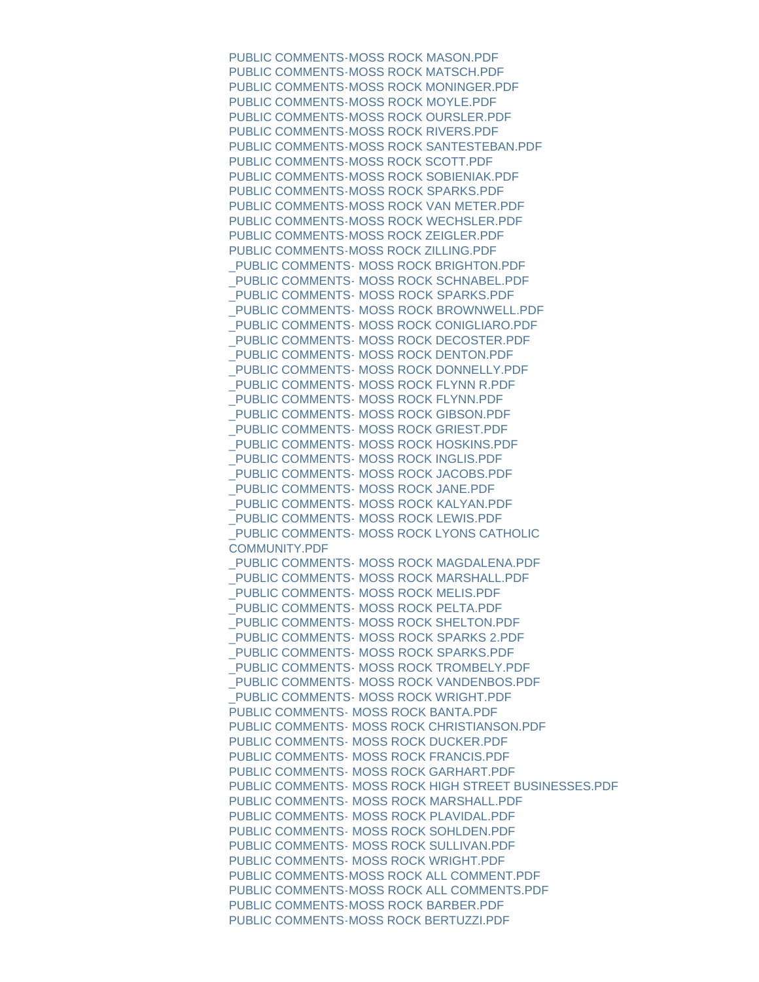[PUBLIC COMMENTS-MOSS ROCK MASON.PDF](https://www.townoflyons.com/AgendaCenter/ViewFile/Item/9791?fileID=20233) [PUBLIC COMMENTS-MOSS ROCK MATSCH.PDF](https://www.townoflyons.com/AgendaCenter/ViewFile/Item/9791?fileID=20234) [PUBLIC COMMENTS-MOSS ROCK MONINGER.PDF](https://www.townoflyons.com/AgendaCenter/ViewFile/Item/9791?fileID=20235) [PUBLIC COMMENTS-MOSS ROCK MOYLE.PDF](https://www.townoflyons.com/AgendaCenter/ViewFile/Item/9791?fileID=20236) [PUBLIC COMMENTS-MOSS ROCK OURSLER.PDF](https://www.townoflyons.com/AgendaCenter/ViewFile/Item/9791?fileID=20237) [PUBLIC COMMENTS-MOSS ROCK RIVERS.PDF](https://www.townoflyons.com/AgendaCenter/ViewFile/Item/9791?fileID=20238) [PUBLIC COMMENTS-MOSS ROCK SANTESTEBAN.PDF](https://www.townoflyons.com/AgendaCenter/ViewFile/Item/9791?fileID=20239) [PUBLIC COMMENTS-MOSS ROCK SCOTT.PDF](https://www.townoflyons.com/AgendaCenter/ViewFile/Item/9791?fileID=20240) [PUBLIC COMMENTS-MOSS ROCK SOBIENIAK.PDF](https://www.townoflyons.com/AgendaCenter/ViewFile/Item/9791?fileID=20241) [PUBLIC COMMENTS-MOSS ROCK SPARKS.PDF](https://www.townoflyons.com/AgendaCenter/ViewFile/Item/9791?fileID=20242) [PUBLIC COMMENTS-MOSS ROCK VAN METER.PDF](https://www.townoflyons.com/AgendaCenter/ViewFile/Item/9791?fileID=20243) [PUBLIC COMMENTS-MOSS ROCK WECHSLER.PDF](https://www.townoflyons.com/AgendaCenter/ViewFile/Item/9791?fileID=20244) [PUBLIC COMMENTS-MOSS ROCK ZEIGLER.PDF](https://www.townoflyons.com/AgendaCenter/ViewFile/Item/9791?fileID=20245) [PUBLIC COMMENTS-MOSS ROCK ZILLING.PDF](https://www.townoflyons.com/AgendaCenter/ViewFile/Item/9791?fileID=20246) [\\_PUBLIC COMMENTS- MOSS ROCK BRIGHTON.PDF](https://www.townoflyons.com/AgendaCenter/ViewFile/Item/9791?fileID=20247) PUBLIC COMMENTS- MOSS ROCK SCHNABEL.PDF PUBLIC COMMENTS- MOSS ROCK SPARKS.PDF [\\_PUBLIC COMMENTS- MOSS ROCK BROWNWELL.PDF](https://www.townoflyons.com/AgendaCenter/ViewFile/Item/9791?fileID=20250) [\\_PUBLIC COMMENTS- MOSS ROCK CONIGLIARO.PDF](https://www.townoflyons.com/AgendaCenter/ViewFile/Item/9791?fileID=20251) PUBLIC COMMENTS- MOSS ROCK DECOSTER.PDF [\\_PUBLIC COMMENTS- MOSS ROCK DENTON.PDF](https://www.townoflyons.com/AgendaCenter/ViewFile/Item/9791?fileID=20253) [\\_PUBLIC COMMENTS- MOSS ROCK DONNELLY.PDF](https://www.townoflyons.com/AgendaCenter/ViewFile/Item/9791?fileID=20254) [\\_PUBLIC COMMENTS- MOSS ROCK FLYNN R.PDF](https://www.townoflyons.com/AgendaCenter/ViewFile/Item/9791?fileID=20255) [\\_PUBLIC COMMENTS- MOSS ROCK FLYNN.PDF](https://www.townoflyons.com/AgendaCenter/ViewFile/Item/9791?fileID=20256) [\\_PUBLIC COMMENTS- MOSS ROCK GIBSON.PDF](https://www.townoflyons.com/AgendaCenter/ViewFile/Item/9791?fileID=20257) [\\_PUBLIC COMMENTS- MOSS ROCK GRIEST.PDF](https://www.townoflyons.com/AgendaCenter/ViewFile/Item/9791?fileID=20258) PUBLIC COMMENTS- MOSS ROCK HOSKINS.PDF [\\_PUBLIC COMMENTS- MOSS ROCK INGLIS.PDF](https://www.townoflyons.com/AgendaCenter/ViewFile/Item/9791?fileID=20260) [\\_PUBLIC COMMENTS- MOSS ROCK JACOBS.PDF](https://www.townoflyons.com/AgendaCenter/ViewFile/Item/9791?fileID=20261) PUBLIC COMMENTS- MOSS ROCK JANE.PDF PUBLIC COMMENTS- MOSS ROCK KALYAN.PDF PUBLIC COMMENTS- MOSS ROCK LEWIS.PDF [\\_PUBLIC COMMENTS- MOSS ROCK LYONS CATHOLIC](https://www.townoflyons.com/AgendaCenter/ViewFile/Item/9791?fileID=20265)  COMMUNITY.PDF PUBLIC COMMENTS- MOSS ROCK MAGDALENA.PDF [\\_PUBLIC COMMENTS- MOSS ROCK MARSHALL.PDF](https://www.townoflyons.com/AgendaCenter/ViewFile/Item/9791?fileID=20267) [\\_PUBLIC COMMENTS- MOSS ROCK MELIS.PDF](https://www.townoflyons.com/AgendaCenter/ViewFile/Item/9791?fileID=20268) PUBLIC COMMENTS- MOSS ROCK PELTA.PDF [\\_PUBLIC COMMENTS- MOSS ROCK SHELTON.PDF](https://www.townoflyons.com/AgendaCenter/ViewFile/Item/9791?fileID=20270) [\\_PUBLIC COMMENTS- MOSS ROCK SPARKS 2.PDF](https://www.townoflyons.com/AgendaCenter/ViewFile/Item/9791?fileID=20271) [\\_PUBLIC COMMENTS- MOSS ROCK SPARKS.PDF](https://www.townoflyons.com/AgendaCenter/ViewFile/Item/9791?fileID=20272) PUBLIC COMMENTS- MOSS ROCK TROMBELY.PDF PUBLIC COMMENTS- MOSS ROCK VANDENBOS.PDF [\\_PUBLIC COMMENTS- MOSS ROCK WRIGHT.PDF](https://www.townoflyons.com/AgendaCenter/ViewFile/Item/9791?fileID=20275) [PUBLIC COMMENTS- MOSS ROCK BANTA.PDF](https://www.townoflyons.com/AgendaCenter/ViewFile/Item/9791?fileID=20276) [PUBLIC COMMENTS- MOSS ROCK CHRISTIANSON.PDF](https://www.townoflyons.com/AgendaCenter/ViewFile/Item/9791?fileID=20277) [PUBLIC COMMENTS- MOSS ROCK DUCKER.PDF](https://www.townoflyons.com/AgendaCenter/ViewFile/Item/9791?fileID=20278) [PUBLIC COMMENTS- MOSS ROCK FRANCIS.PDF](https://www.townoflyons.com/AgendaCenter/ViewFile/Item/9791?fileID=20279) [PUBLIC COMMENTS- MOSS ROCK GARHART.PDF](https://www.townoflyons.com/AgendaCenter/ViewFile/Item/9791?fileID=20280) [PUBLIC COMMENTS- MOSS ROCK HIGH STREET BUSINESSES.PDF](https://www.townoflyons.com/AgendaCenter/ViewFile/Item/9791?fileID=20281) [PUBLIC COMMENTS- MOSS ROCK MARSHALL.PDF](https://www.townoflyons.com/AgendaCenter/ViewFile/Item/9791?fileID=20282) [PUBLIC COMMENTS- MOSS ROCK PLAVIDAL.PDF](https://www.townoflyons.com/AgendaCenter/ViewFile/Item/9791?fileID=20283) [PUBLIC COMMENTS- MOSS ROCK SOHLDEN.PDF](https://www.townoflyons.com/AgendaCenter/ViewFile/Item/9791?fileID=20284) [PUBLIC COMMENTS- MOSS ROCK SULLIVAN.PDF](https://www.townoflyons.com/AgendaCenter/ViewFile/Item/9791?fileID=20285) [PUBLIC COMMENTS- MOSS ROCK WRIGHT.PDF](https://www.townoflyons.com/AgendaCenter/ViewFile/Item/9791?fileID=20286) [PUBLIC COMMENTS-MOSS ROCK ALL COMMENT.PDF](https://www.townoflyons.com/AgendaCenter/ViewFile/Item/9791?fileID=20287) [PUBLIC COMMENTS-MOSS ROCK ALL COMMENTS.PDF](https://www.townoflyons.com/AgendaCenter/ViewFile/Item/9791?fileID=20288) [PUBLIC COMMENTS-MOSS ROCK BARBER.PDF](https://www.townoflyons.com/AgendaCenter/ViewFile/Item/9791?fileID=20289) [PUBLIC COMMENTS-MOSS ROCK BERTUZZI.PDF](https://www.townoflyons.com/AgendaCenter/ViewFile/Item/9791?fileID=20290)